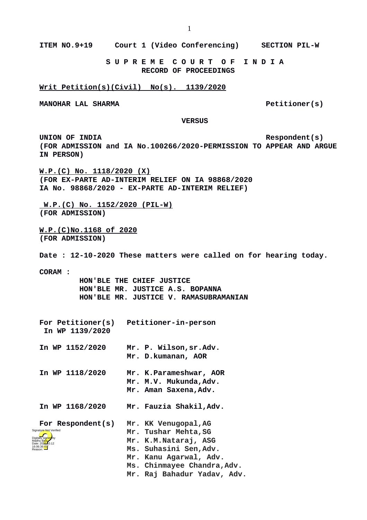**ITEM NO.9+19 Court 1 (Video Conferencing) SECTION PIL-W**

 **S U P R E M E C O U R T O F I N D I A RECORD OF PROCEEDINGS**

## **Writ Petition(s)(Civil) No(s). 1139/2020**

**MANOHAR LAL SHARMA** Petitioner(s)

 **VERSUS**

UNION OF INDIA **Respondent(s) (FOR ADMISSION and IA No.100266/2020-PERMISSION TO APPEAR AND ARGUE IN PERSON)**

**W.P.(C) No. 1118/2020 (X) (FOR EX-PARTE AD-INTERIM RELIEF ON IA 98868/2020 IA No. 98868/2020 - EX-PARTE AD-INTERIM RELIEF)**

 **W.P.(C) No. 1152/2020 (PIL-W) (FOR ADMISSION)**

**W.P.(C)No.1168 of 2020 (FOR ADMISSION)**

**Date : 12-10-2020 These matters were called on for hearing today.**

**CORAM :** 

 **HON'BLE THE CHIEF JUSTICE HON'BLE MR. JUSTICE A.S. BOPANNA HON'BLE MR. JUSTICE V. RAMASUBRAMANIAN**

| For Petitioner(s)<br>In WP 1139/2020 | Petitioner-in-person                                                      |
|--------------------------------------|---------------------------------------------------------------------------|
| In WP 1152/2020                      | Mr. P. Wilson, sr. Adv.<br>Mr. D.kumanan, AOR                             |
| In WP 1118/2020                      | Mr. K.Parameshwar, AOR<br>Mr. M.V. Mukunda, Adv.<br>Mr. Aman Saxena, Adv. |

**In WP 1168/2020 Mr. Fauzia Shakil,Adv.**

**For Respondent(s) Mr. KK Venugopal,AG Mr. Tushar Mehta,SG** Digitally signed by Madhu Bala Date: 2020.10.12 16:06:36 IST Reason: Signature Not Verified

> **Mr. Kanu Agarwal, Adv. Ms. Chinmayee Chandra,Adv.**

**Mr. K.M.Nataraj, ASG Ms. Suhasini Sen,Adv.**

**Mr. Raj Bahadur Yadav, Adv.**